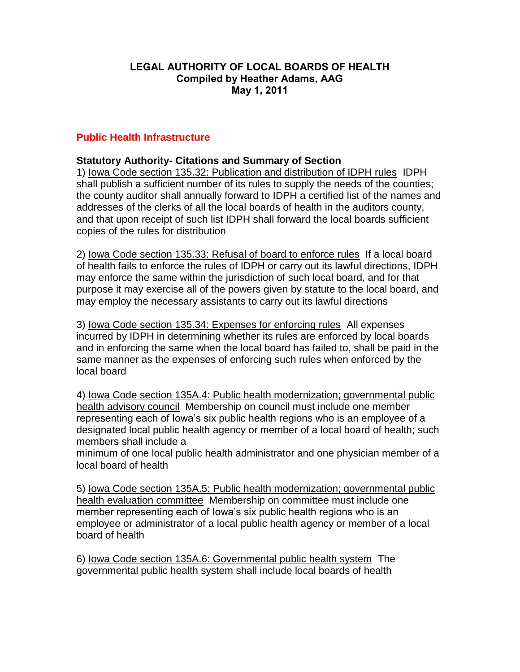#### **LEGAL AUTHORITY OF LOCAL BOARDS OF HEALTH Compiled by Heather Adams, AAG May 1, 2011**

### **Public Health Infrastructure**

#### **Statutory Authority- Citations and Summary of Section**

1) Iowa Code section 135.32: Publication and distribution of IDPH rules IDPH shall publish a sufficient number of its rules to supply the needs of the counties; the county auditor shall annually forward to IDPH a certified list of the names and addresses of the clerks of all the local boards of health in the auditors county, and that upon receipt of such list IDPH shall forward the local boards sufficient copies of the rules for distribution

2) Iowa Code section 135.33: Refusal of board to enforce rules If a local board of health fails to enforce the rules of IDPH or carry out its lawful directions, IDPH may enforce the same within the jurisdiction of such local board, and for that purpose it may exercise all of the powers given by statute to the local board, and may employ the necessary assistants to carry out its lawful directions

3) Iowa Code section 135.34: Expenses for enforcing rules All expenses incurred by IDPH in determining whether its rules are enforced by local boards and in enforcing the same when the local board has failed to, shall be paid in the same manner as the expenses of enforcing such rules when enforced by the local board

4) Iowa Code section 135A.4: Public health modernization; governmental public health advisory council Membership on council must include one member representing each of Iowa's six public health regions who is an employee of a designated local public health agency or member of a local board of health; such members shall include a

minimum of one local public health administrator and one physician member of a local board of health

5) Iowa Code section 135A.5: Public health modernization; governmental public health evaluation committee Membership on committee must include one member representing each of Iowa's six public health regions who is an employee or administrator of a local public health agency or member of a local board of health

6) Iowa Code section 135A.6: Governmental public health system The governmental public health system shall include local boards of health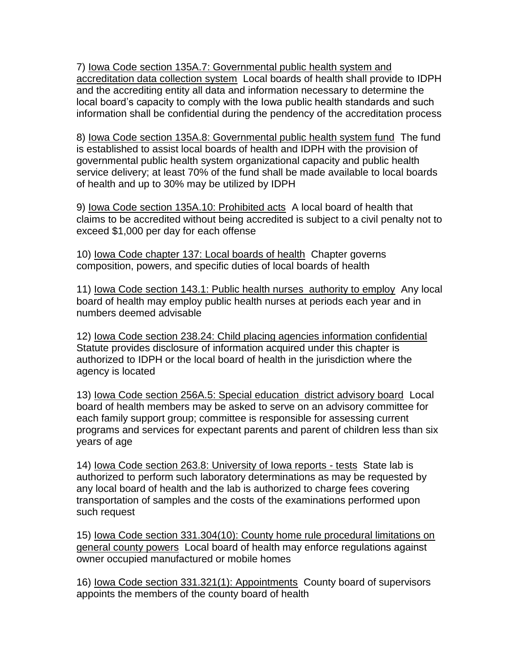7) Iowa Code section 135A.7: Governmental public health system and accreditation data collection system Local boards of health shall provide to IDPH and the accrediting entity all data and information necessary to determine the local board's capacity to comply with the Iowa public health standards and such information shall be confidential during the pendency of the accreditation process

8) Iowa Code section 135A.8: Governmental public health system fund The fund is established to assist local boards of health and IDPH with the provision of governmental public health system organizational capacity and public health service delivery; at least 70% of the fund shall be made available to local boards of health and up to 30% may be utilized by IDPH

9) Iowa Code section 135A.10: Prohibited acts A local board of health that claims to be accredited without being accredited is subject to a civil penalty not to exceed \$1,000 per day for each offense

10) Iowa Code chapter 137: Local boards of health Chapter governs composition, powers, and specific duties of local boards of health

11) Iowa Code section 143.1: Public health nurses authority to employ Any local board of health may employ public health nurses at periods each year and in numbers deemed advisable

12) Iowa Code section 238.24: Child placing agencies information confidential Statute provides disclosure of information acquired under this chapter is authorized to IDPH or the local board of health in the jurisdiction where the agency is located

13) Iowa Code section 256A.5: Special education district advisory board Local board of health members may be asked to serve on an advisory committee for each family support group; committee is responsible for assessing current programs and services for expectant parents and parent of children less than six years of age

14) Iowa Code section 263.8: University of Iowa reports - tests State lab is authorized to perform such laboratory determinations as may be requested by any local board of health and the lab is authorized to charge fees covering transportation of samples and the costs of the examinations performed upon such request

15) Iowa Code section 331.304(10): County home rule procedural limitations on general county powers Local board of health may enforce regulations against owner occupied manufactured or mobile homes

16) Iowa Code section 331.321(1): Appointments County board of supervisors appoints the members of the county board of health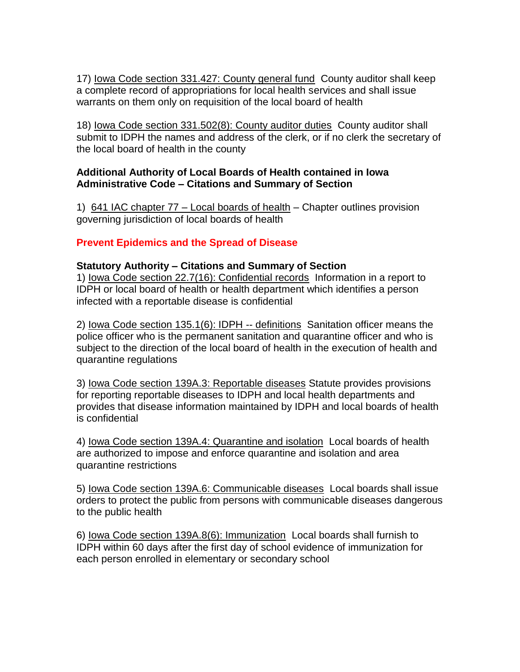17) Iowa Code section 331.427: County general fund County auditor shall keep a complete record of appropriations for local health services and shall issue warrants on them only on requisition of the local board of health

18) Iowa Code section 331.502(8): County auditor duties County auditor shall submit to IDPH the names and address of the clerk, or if no clerk the secretary of the local board of health in the county

### **Additional Authority of Local Boards of Health contained in Iowa Administrative Code – Citations and Summary of Section**

1) 641 IAC chapter 77 – Local boards of health – Chapter outlines provision governing jurisdiction of local boards of health

# **Prevent Epidemics and the Spread of Disease**

#### **Statutory Authority – Citations and Summary of Section**

1) Iowa Code section 22.7(16): Confidential records Information in a report to IDPH or local board of health or health department which identifies a person infected with a reportable disease is confidential

2) Iowa Code section 135.1(6): IDPH -- definitions Sanitation officer means the police officer who is the permanent sanitation and quarantine officer and who is subject to the direction of the local board of health in the execution of health and quarantine regulations

3) Iowa Code section 139A.3: Reportable diseases Statute provides provisions for reporting reportable diseases to IDPH and local health departments and provides that disease information maintained by IDPH and local boards of health is confidential

4) Iowa Code section 139A.4: Quarantine and isolation Local boards of health are authorized to impose and enforce quarantine and isolation and area quarantine restrictions

5) Iowa Code section 139A.6: Communicable diseases Local boards shall issue orders to protect the public from persons with communicable diseases dangerous to the public health

6) Iowa Code section 139A.8(6): Immunization Local boards shall furnish to IDPH within 60 days after the first day of school evidence of immunization for each person enrolled in elementary or secondary school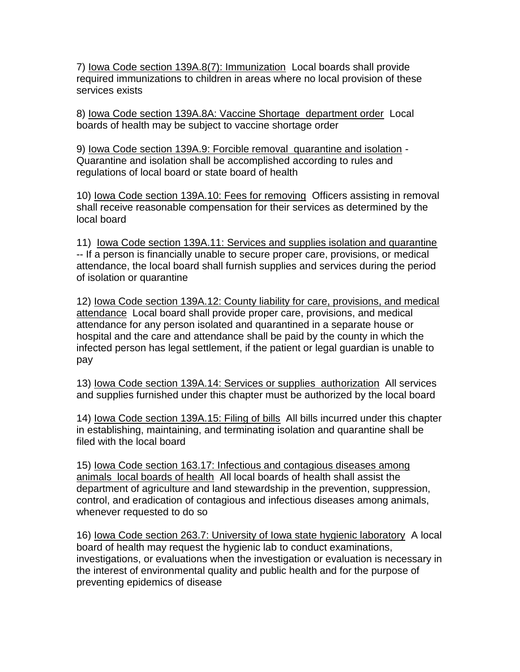7) Iowa Code section 139A.8(7): Immunization Local boards shall provide required immunizations to children in areas where no local provision of these services exists

8) Iowa Code section 139A.8A: Vaccine Shortage department order Local boards of health may be subject to vaccine shortage order

9) Iowa Code section 139A.9: Forcible removal quarantine and isolation - Quarantine and isolation shall be accomplished according to rules and regulations of local board or state board of health

10) Iowa Code section 139A.10: Fees for removing Officers assisting in removal shall receive reasonable compensation for their services as determined by the local board

11) Iowa Code section 139A.11: Services and supplies isolation and quarantine -- If a person is financially unable to secure proper care, provisions, or medical attendance, the local board shall furnish supplies and services during the period of isolation or quarantine

12) Iowa Code section 139A.12: County liability for care, provisions, and medical attendance Local board shall provide proper care, provisions, and medical attendance for any person isolated and quarantined in a separate house or hospital and the care and attendance shall be paid by the county in which the infected person has legal settlement, if the patient or legal guardian is unable to pay

13) Iowa Code section 139A.14: Services or supplies authorization All services and supplies furnished under this chapter must be authorized by the local board

14) Iowa Code section 139A.15: Filing of bills All bills incurred under this chapter in establishing, maintaining, and terminating isolation and quarantine shall be filed with the local board

15) Iowa Code section 163.17: Infectious and contagious diseases among animals local boards of health All local boards of health shall assist the department of agriculture and land stewardship in the prevention, suppression, control, and eradication of contagious and infectious diseases among animals, whenever requested to do so

16) Iowa Code section 263.7: University of Iowa state hygienic laboratory A local board of health may request the hygienic lab to conduct examinations, investigations, or evaluations when the investigation or evaluation is necessary in the interest of environmental quality and public health and for the purpose of preventing epidemics of disease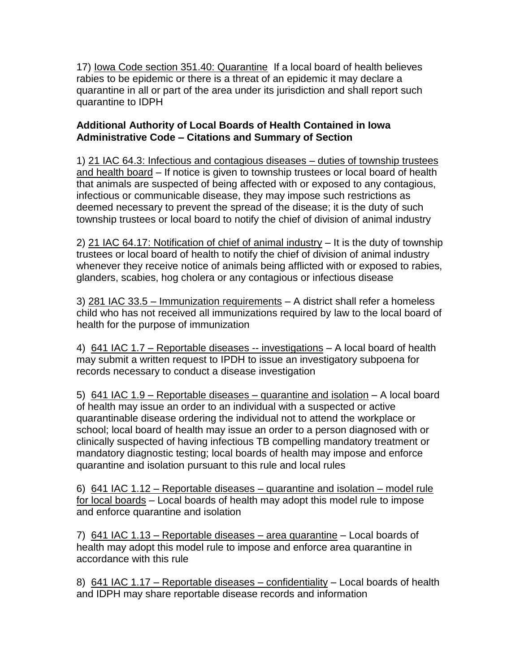17) Iowa Code section 351.40: Quarantine If a local board of health believes rabies to be epidemic or there is a threat of an epidemic it may declare a quarantine in all or part of the area under its jurisdiction and shall report such quarantine to IDPH

## **Additional Authority of Local Boards of Health Contained in Iowa Administrative Code – Citations and Summary of Section**

1) 21 IAC 64.3: Infectious and contagious diseases – duties of township trustees and health board – If notice is given to township trustees or local board of health that animals are suspected of being affected with or exposed to any contagious, infectious or communicable disease, they may impose such restrictions as deemed necessary to prevent the spread of the disease; it is the duty of such township trustees or local board to notify the chief of division of animal industry

2) 21 IAC 64.17: Notification of chief of animal industry – It is the duty of township trustees or local board of health to notify the chief of division of animal industry whenever they receive notice of animals being afflicted with or exposed to rabies, glanders, scabies, hog cholera or any contagious or infectious disease

3) 281 IAC 33.5 – Immunization requirements – A district shall refer a homeless child who has not received all immunizations required by law to the local board of health for the purpose of immunization

4) 641 IAC 1.7 – Reportable diseases -- investigations – A local board of health may submit a written request to IPDH to issue an investigatory subpoena for records necessary to conduct a disease investigation

5) 641 IAC 1.9 – Reportable diseases – quarantine and isolation – A local board of health may issue an order to an individual with a suspected or active quarantinable disease ordering the individual not to attend the workplace or school; local board of health may issue an order to a person diagnosed with or clinically suspected of having infectious TB compelling mandatory treatment or mandatory diagnostic testing; local boards of health may impose and enforce quarantine and isolation pursuant to this rule and local rules

6) 641 IAC 1.12 – Reportable diseases – quarantine and isolation – model rule for local boards – Local boards of health may adopt this model rule to impose and enforce quarantine and isolation

7) 641 IAC 1.13 – Reportable diseases – area quarantine – Local boards of health may adopt this model rule to impose and enforce area quarantine in accordance with this rule

8) 641 IAC 1.17 – Reportable diseases – confidentiality – Local boards of health and IDPH may share reportable disease records and information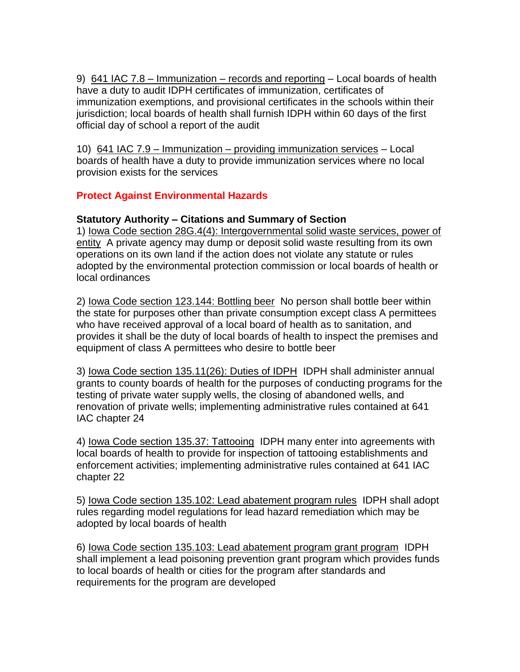9) 641 IAC 7.8 – Immunization – records and reporting – Local boards of health have a duty to audit IDPH certificates of immunization, certificates of immunization exemptions, and provisional certificates in the schools within their jurisdiction; local boards of health shall furnish IDPH within 60 days of the first official day of school a report of the audit

10) 641 IAC 7.9 – Immunization – providing immunization services – Local boards of health have a duty to provide immunization services where no local provision exists for the services

## **Protect Against Environmental Hazards**

### **Statutory Authority – Citations and Summary of Section**

1) Iowa Code section 28G.4(4): Intergovernmental solid waste services, power of entity A private agency may dump or deposit solid waste resulting from its own operations on its own land if the action does not violate any statute or rules adopted by the environmental protection commission or local boards of health or local ordinances

2) Iowa Code section 123.144: Bottling beer No person shall bottle beer within the state for purposes other than private consumption except class A permittees who have received approval of a local board of health as to sanitation, and provides it shall be the duty of local boards of health to inspect the premises and equipment of class A permittees who desire to bottle beer

3) Iowa Code section 135.11(26): Duties of IDPH IDPH shall administer annual grants to county boards of health for the purposes of conducting programs for the testing of private water supply wells, the closing of abandoned wells, and renovation of private wells; implementing administrative rules contained at 641 IAC chapter 24

4) Iowa Code section 135.37: Tattooing IDPH many enter into agreements with local boards of health to provide for inspection of tattooing establishments and enforcement activities; implementing administrative rules contained at 641 IAC chapter 22

5) Iowa Code section 135.102: Lead abatement program rules IDPH shall adopt rules regarding model regulations for lead hazard remediation which may be adopted by local boards of health

6) Iowa Code section 135.103: Lead abatement program grant program IDPH shall implement a lead poisoning prevention grant program which provides funds to local boards of health or cities for the program after standards and requirements for the program are developed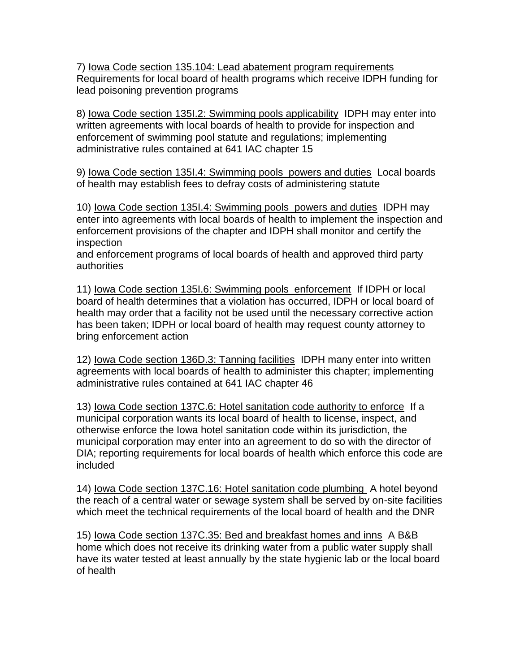7) Iowa Code section 135.104: Lead abatement program requirements Requirements for local board of health programs which receive IDPH funding for lead poisoning prevention programs

8) Iowa Code section 135I.2: Swimming pools applicability IDPH may enter into written agreements with local boards of health to provide for inspection and enforcement of swimming pool statute and regulations; implementing administrative rules contained at 641 IAC chapter 15

9) Iowa Code section 135I.4: Swimming pools powers and duties Local boards of health may establish fees to defray costs of administering statute

10) Iowa Code section 135I.4: Swimming pools powers and duties IDPH may enter into agreements with local boards of health to implement the inspection and enforcement provisions of the chapter and IDPH shall monitor and certify the inspection

and enforcement programs of local boards of health and approved third party authorities

11) Iowa Code section 135I.6: Swimming pools enforcement If IDPH or local board of health determines that a violation has occurred, IDPH or local board of health may order that a facility not be used until the necessary corrective action has been taken; IDPH or local board of health may request county attorney to bring enforcement action

12) Iowa Code section 136D.3: Tanning facilities IDPH many enter into written agreements with local boards of health to administer this chapter; implementing administrative rules contained at 641 IAC chapter 46

13) Iowa Code section 137C.6: Hotel sanitation code authority to enforce If a municipal corporation wants its local board of health to license, inspect, and otherwise enforce the Iowa hotel sanitation code within its jurisdiction, the municipal corporation may enter into an agreement to do so with the director of DIA; reporting requirements for local boards of health which enforce this code are included

14) Iowa Code section 137C.16: Hotel sanitation code plumbing A hotel beyond the reach of a central water or sewage system shall be served by on-site facilities which meet the technical requirements of the local board of health and the DNR

15) Iowa Code section 137C.35: Bed and breakfast homes and inns A B&B home which does not receive its drinking water from a public water supply shall have its water tested at least annually by the state hygienic lab or the local board of health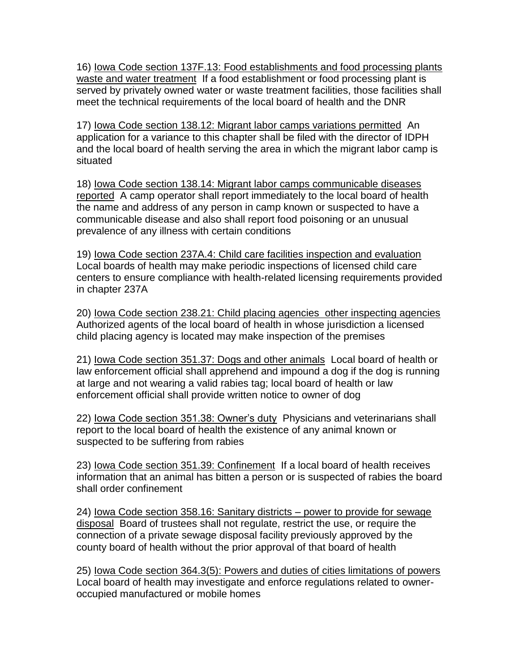16) Iowa Code section 137F.13: Food establishments and food processing plants waste and water treatment If a food establishment or food processing plant is served by privately owned water or waste treatment facilities, those facilities shall meet the technical requirements of the local board of health and the DNR

17) Iowa Code section 138.12: Migrant labor camps variations permitted An application for a variance to this chapter shall be filed with the director of IDPH and the local board of health serving the area in which the migrant labor camp is situated

18) Iowa Code section 138.14: Migrant labor camps communicable diseases reported A camp operator shall report immediately to the local board of health the name and address of any person in camp known or suspected to have a communicable disease and also shall report food poisoning or an unusual prevalence of any illness with certain conditions

19) Iowa Code section 237A.4: Child care facilities inspection and evaluation Local boards of health may make periodic inspections of licensed child care centers to ensure compliance with health-related licensing requirements provided in chapter 237A

20) Iowa Code section 238.21: Child placing agencies other inspecting agencies Authorized agents of the local board of health in whose jurisdiction a licensed child placing agency is located may make inspection of the premises

21) Iowa Code section 351.37: Dogs and other animals Local board of health or law enforcement official shall apprehend and impound a dog if the dog is running at large and not wearing a valid rabies tag; local board of health or law enforcement official shall provide written notice to owner of dog

22) Iowa Code section 351.38: Owner's duty Physicians and veterinarians shall report to the local board of health the existence of any animal known or suspected to be suffering from rabies

23) lowa Code section 351.39: Confinement If a local board of health receives information that an animal has bitten a person or is suspected of rabies the board shall order confinement

24) Iowa Code section 358.16: Sanitary districts – power to provide for sewage disposal Board of trustees shall not regulate, restrict the use, or require the connection of a private sewage disposal facility previously approved by the county board of health without the prior approval of that board of health

25) Iowa Code section 364.3(5): Powers and duties of cities limitations of powers Local board of health may investigate and enforce regulations related to owneroccupied manufactured or mobile homes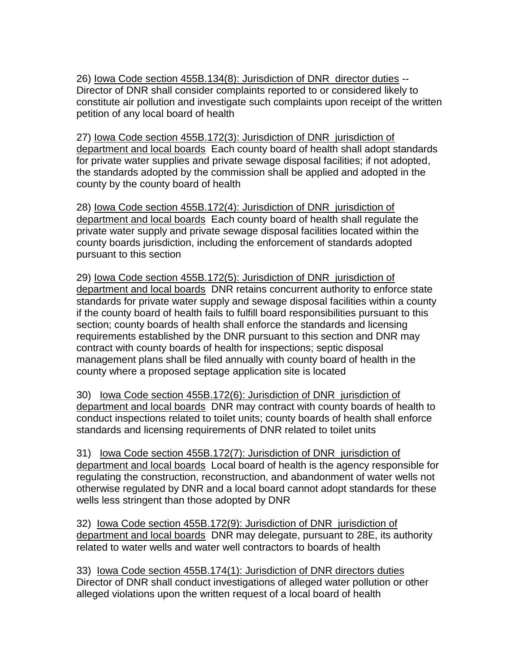26) Iowa Code section 455B.134(8): Jurisdiction of DNR director duties -- Director of DNR shall consider complaints reported to or considered likely to constitute air pollution and investigate such complaints upon receipt of the written petition of any local board of health

27) Iowa Code section 455B.172(3): Jurisdiction of DNR jurisdiction of department and local boards Each county board of health shall adopt standards for private water supplies and private sewage disposal facilities; if not adopted, the standards adopted by the commission shall be applied and adopted in the county by the county board of health

28) Iowa Code section 455B.172(4): Jurisdiction of DNR jurisdiction of department and local boards Each county board of health shall regulate the private water supply and private sewage disposal facilities located within the county boards jurisdiction, including the enforcement of standards adopted pursuant to this section

29) Iowa Code section 455B.172(5): Jurisdiction of DNR jurisdiction of department and local boards DNR retains concurrent authority to enforce state standards for private water supply and sewage disposal facilities within a county if the county board of health fails to fulfill board responsibilities pursuant to this section; county boards of health shall enforce the standards and licensing requirements established by the DNR pursuant to this section and DNR may contract with county boards of health for inspections; septic disposal management plans shall be filed annually with county board of health in the county where a proposed septage application site is located

30) Iowa Code section 455B.172(6): Jurisdiction of DNR jurisdiction of department and local boards DNR may contract with county boards of health to conduct inspections related to toilet units; county boards of health shall enforce standards and licensing requirements of DNR related to toilet units

31) Iowa Code section 455B.172(7): Jurisdiction of DNR jurisdiction of department and local boards Local board of health is the agency responsible for regulating the construction, reconstruction, and abandonment of water wells not otherwise regulated by DNR and a local board cannot adopt standards for these wells less stringent than those adopted by DNR

32) Iowa Code section 455B.172(9): Jurisdiction of DNR jurisdiction of department and local boards DNR may delegate, pursuant to 28E, its authority related to water wells and water well contractors to boards of health

33) Iowa Code section 455B.174(1): Jurisdiction of DNR directors duties Director of DNR shall conduct investigations of alleged water pollution or other alleged violations upon the written request of a local board of health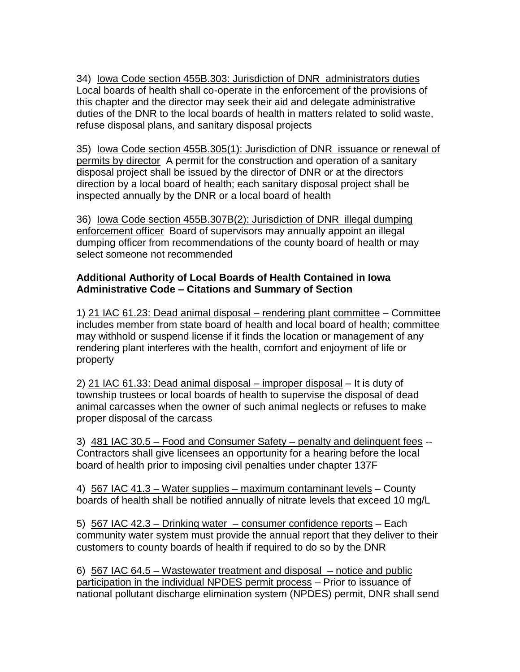34) Iowa Code section 455B.303: Jurisdiction of DNR administrators duties Local boards of health shall co-operate in the enforcement of the provisions of this chapter and the director may seek their aid and delegate administrative duties of the DNR to the local boards of health in matters related to solid waste, refuse disposal plans, and sanitary disposal projects

35) Iowa Code section 455B.305(1): Jurisdiction of DNR issuance or renewal of permits by director A permit for the construction and operation of a sanitary disposal project shall be issued by the director of DNR or at the directors direction by a local board of health; each sanitary disposal project shall be inspected annually by the DNR or a local board of health

36) Iowa Code section 455B.307B(2): Jurisdiction of DNR illegal dumping enforcement officer Board of supervisors may annually appoint an illegal dumping officer from recommendations of the county board of health or may select someone not recommended

### **Additional Authority of Local Boards of Health Contained in Iowa Administrative Code – Citations and Summary of Section**

1) 21 IAC 61.23: Dead animal disposal – rendering plant committee – Committee includes member from state board of health and local board of health; committee may withhold or suspend license if it finds the location or management of any rendering plant interferes with the health, comfort and enjoyment of life or property

2) 21 IAC 61.33: Dead animal disposal – improper disposal – It is duty of township trustees or local boards of health to supervise the disposal of dead animal carcasses when the owner of such animal neglects or refuses to make proper disposal of the carcass

3) 481 IAC 30.5 – Food and Consumer Safety – penalty and delinquent fees -- Contractors shall give licensees an opportunity for a hearing before the local board of health prior to imposing civil penalties under chapter 137F

4) 567 IAC 41.3 – Water supplies – maximum contaminant levels – County boards of health shall be notified annually of nitrate levels that exceed 10 mg/L

5) 567 IAC 42.3 – Drinking water – consumer confidence reports – Each community water system must provide the annual report that they deliver to their customers to county boards of health if required to do so by the DNR

6) 567 IAC 64.5 – Wastewater treatment and disposal – notice and public participation in the individual NPDES permit process – Prior to issuance of national pollutant discharge elimination system (NPDES) permit, DNR shall send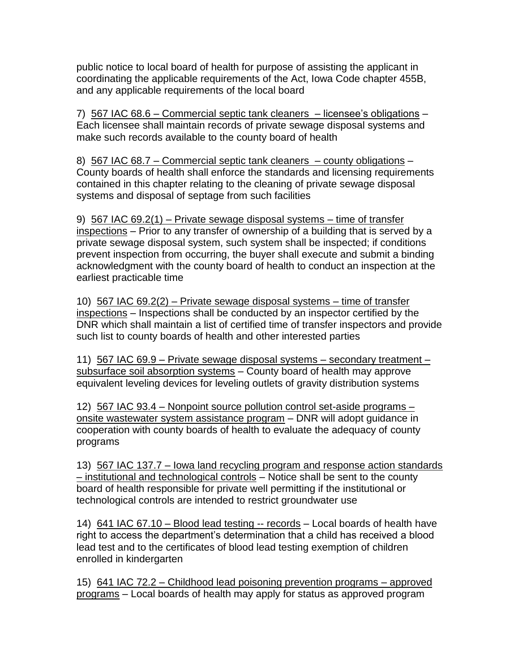public notice to local board of health for purpose of assisting the applicant in coordinating the applicable requirements of the Act, Iowa Code chapter 455B, and any applicable requirements of the local board

7) 567 IAC 68.6 – Commercial septic tank cleaners – licensee's obligations – Each licensee shall maintain records of private sewage disposal systems and make such records available to the county board of health

8) 567 IAC 68.7 – Commercial septic tank cleaners – county obligations – County boards of health shall enforce the standards and licensing requirements contained in this chapter relating to the cleaning of private sewage disposal systems and disposal of septage from such facilities

9) 567 IAC 69.2(1) – Private sewage disposal systems – time of transfer inspections – Prior to any transfer of ownership of a building that is served by a private sewage disposal system, such system shall be inspected; if conditions prevent inspection from occurring, the buyer shall execute and submit a binding acknowledgment with the county board of health to conduct an inspection at the earliest practicable time

10) 567 IAC 69.2(2) – Private sewage disposal systems – time of transfer inspections – Inspections shall be conducted by an inspector certified by the DNR which shall maintain a list of certified time of transfer inspectors and provide such list to county boards of health and other interested parties

11) 567 IAC 69.9 – Private sewage disposal systems – secondary treatment – subsurface soil absorption systems – County board of health may approve equivalent leveling devices for leveling outlets of gravity distribution systems

12) 567 IAC 93.4 – Nonpoint source pollution control set-aside programs – onsite wastewater system assistance program – DNR will adopt guidance in cooperation with county boards of health to evaluate the adequacy of county programs

13) 567 IAC 137.7 – Iowa land recycling program and response action standards – institutional and technological controls – Notice shall be sent to the county board of health responsible for private well permitting if the institutional or technological controls are intended to restrict groundwater use

14) 641 IAC 67.10 – Blood lead testing -- records – Local boards of health have right to access the department's determination that a child has received a blood lead test and to the certificates of blood lead testing exemption of children enrolled in kindergarten

15) 641 IAC 72.2 – Childhood lead poisoning prevention programs – approved programs – Local boards of health may apply for status as approved program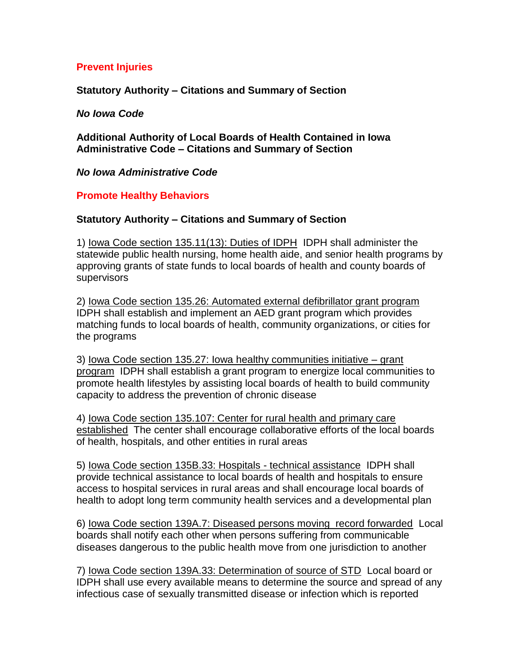### **Prevent Injuries**

**Statutory Authority – Citations and Summary of Section**

#### *No Iowa Code*

**Additional Authority of Local Boards of Health Contained in Iowa Administrative Code – Citations and Summary of Section**

#### *No Iowa Administrative Code*

### **Promote Healthy Behaviors**

### **Statutory Authority – Citations and Summary of Section**

1) Iowa Code section 135.11(13): Duties of IDPH IDPH shall administer the statewide public health nursing, home health aide, and senior health programs by approving grants of state funds to local boards of health and county boards of supervisors

2) Iowa Code section 135.26: Automated external defibrillator grant program IDPH shall establish and implement an AED grant program which provides matching funds to local boards of health, community organizations, or cities for the programs

3) Iowa Code section 135.27: Iowa healthy communities initiative – grant program IDPH shall establish a grant program to energize local communities to promote health lifestyles by assisting local boards of health to build community capacity to address the prevention of chronic disease

4) Iowa Code section 135.107: Center for rural health and primary care established The center shall encourage collaborative efforts of the local boards of health, hospitals, and other entities in rural areas

5) Iowa Code section 135B.33: Hospitals - technical assistance IDPH shall provide technical assistance to local boards of health and hospitals to ensure access to hospital services in rural areas and shall encourage local boards of health to adopt long term community health services and a developmental plan

6) Iowa Code section 139A.7: Diseased persons moving record forwarded Local boards shall notify each other when persons suffering from communicable diseases dangerous to the public health move from one jurisdiction to another

7) Iowa Code section 139A.33: Determination of source of STD Local board or IDPH shall use every available means to determine the source and spread of any infectious case of sexually transmitted disease or infection which is reported